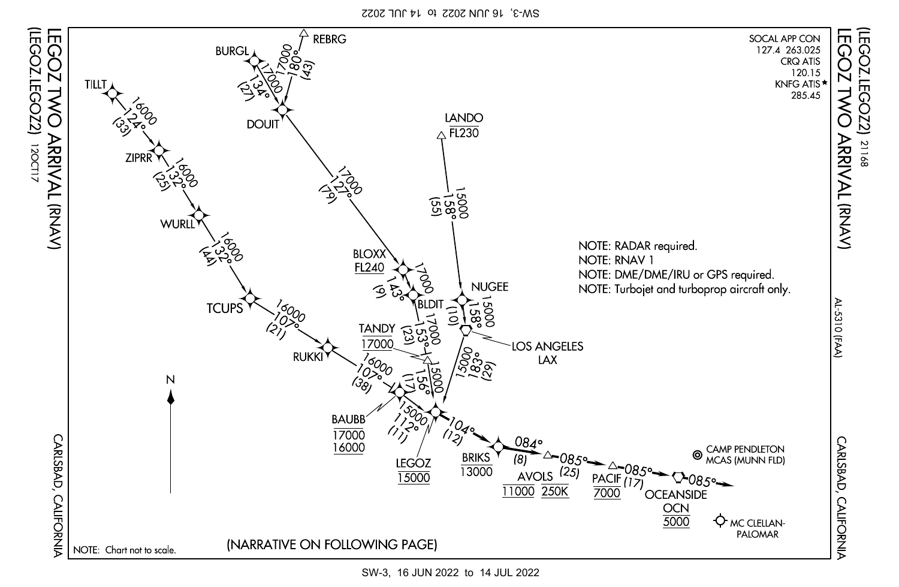SW-3, 16 JUN 2022 to 14 JUL 2022



12OCT17

SW-3, 16 JUN 2022 to 14 JUL 2022